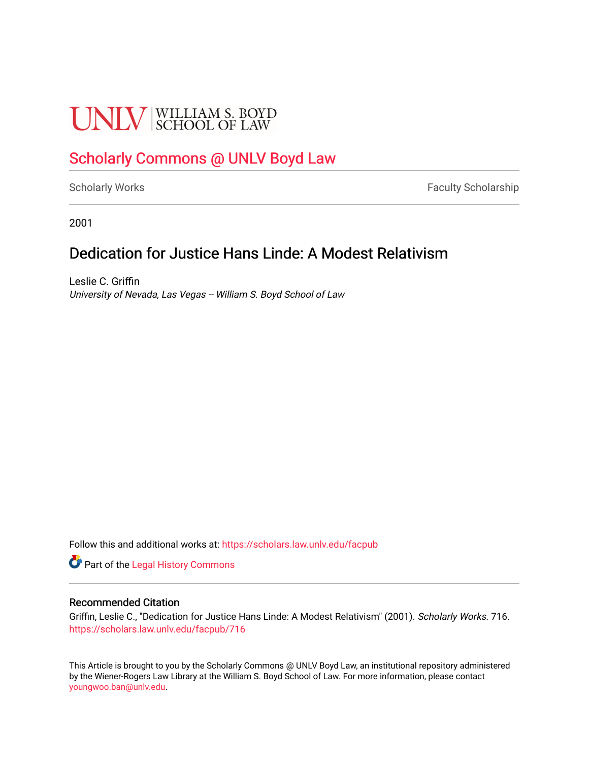# **UNLV** SCHOOL OF LAW

## [Scholarly Commons @ UNLV Boyd Law](https://scholars.law.unlv.edu/)

[Scholarly Works](https://scholars.law.unlv.edu/facpub) **Faculty Scholarship** Faculty Scholarship

2001

## Dedication for Justice Hans Linde: A Modest Relativism

Leslie C. Griffin University of Nevada, Las Vegas -- William S. Boyd School of Law

Follow this and additional works at: [https://scholars.law.unlv.edu/facpub](https://scholars.law.unlv.edu/facpub?utm_source=scholars.law.unlv.edu%2Ffacpub%2F716&utm_medium=PDF&utm_campaign=PDFCoverPages)

Part of the [Legal History Commons](http://network.bepress.com/hgg/discipline/904?utm_source=scholars.law.unlv.edu%2Ffacpub%2F716&utm_medium=PDF&utm_campaign=PDFCoverPages)

### Recommended Citation

Griffin, Leslie C., "Dedication for Justice Hans Linde: A Modest Relativism" (2001). Scholarly Works. 716. [https://scholars.law.unlv.edu/facpub/716](https://scholars.law.unlv.edu/facpub/716?utm_source=scholars.law.unlv.edu%2Ffacpub%2F716&utm_medium=PDF&utm_campaign=PDFCoverPages)

This Article is brought to you by the Scholarly Commons @ UNLV Boyd Law, an institutional repository administered by the Wiener-Rogers Law Library at the William S. Boyd School of Law. For more information, please contact [youngwoo.ban@unlv.edu.](mailto:youngwoo.ban@unlv.edu)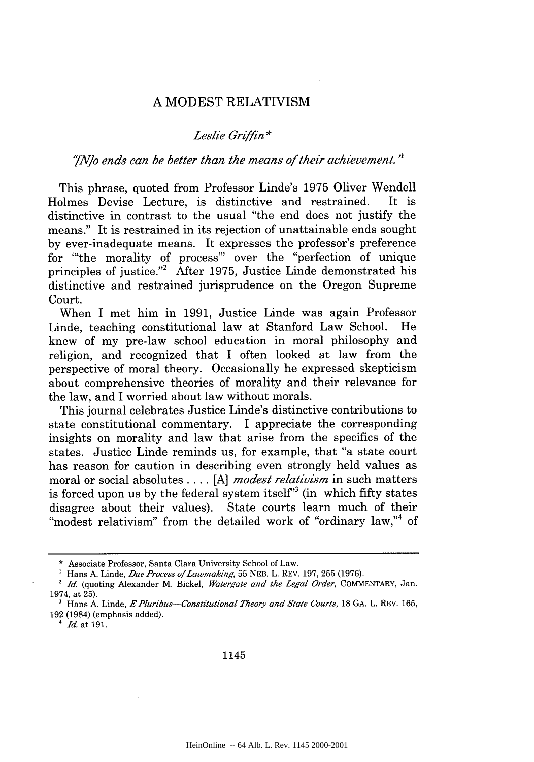#### A MODEST RELATIVISM

#### *Leslie Griffin* **\***

#### *"ANJo ends can be better than the means of their achievement.*

This phrase, quoted from Professor Linde's 1975 Oliver Wendell Holmes Devise Lecture, is distinctive and restrained. It is distinctive in contrast to the usual "the end does not justify the means." It is restrained in its rejection of unattainable ends sought by ever-inadequate means. It expresses the professor's preference for 'the morality of process"' over the "perfection of unique principles of justice."<sup>2</sup> After 1975, Justice Linde demonstrated his distinctive and restrained jurisprudence on the Oregon Supreme Court.

When I met him in 1991, Justice Linde was again Professor Linde, teaching constitutional law at Stanford Law School. He knew of my pre-law school education in moral philosophy and religion, and recognized that I often looked at law from the perspective of moral theory. Occasionally he expressed skepticism about comprehensive theories of morality and their relevance for the law, and I worried about law without morals.

This journal celebrates Justice Linde's distinctive contributions to state constitutional commentary. I appreciate the corresponding insights on morality and law that arise from the specifics of the states. Justice Linde reminds us, for example, that "a state court has reason for caution in describing even strongly held values as moral or social absolutes **.... [A]** *modest relativism* in such matters is forced upon us by the federal system itself<sup>33</sup> (in which fifty states disagree about their values). State courts learn much of their "modest relativism" from the detailed work of "ordinary law,"<sup>4</sup> of

#### 1145

<sup>\*</sup> Associate Professor, Santa Clara University School of Law.

<sup>&</sup>lt;sup>1</sup> Hans A. Linde, *Due Process of Lawmaking*, 55 NEB. L. REV. 197, 255 (1976).

*<sup>2</sup> Id.* (quoting Alexander M. Bickel, *Watergate and the Legal Order,* COMMENTARY, Jan. 1974, at 25).

**<sup>&#</sup>x27;** Hans A. Linde, *EPluribus-Constitutional Theory and State Courts,* **18 GA.** L. REV. 165, 192 (1984) (emphasis added).

*<sup>4</sup> Id.* at 191.